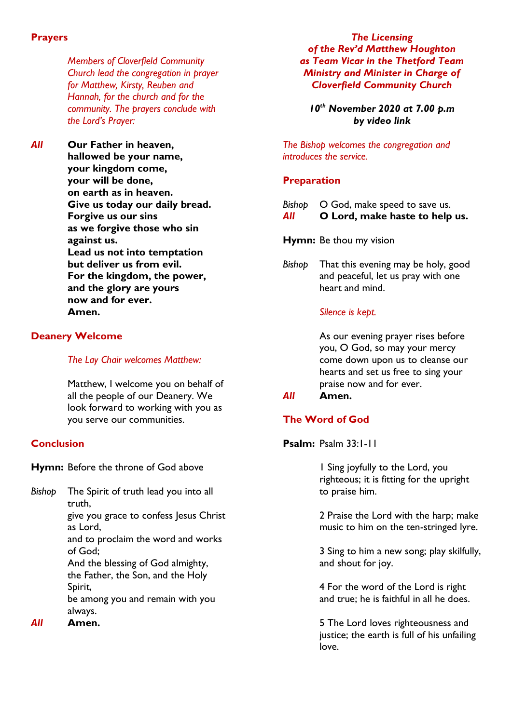#### **Prayers**

*Members of Cloverfield Community Church lead the congregation in prayer for Matthew, Kirsty, Reuben and Hannah, for the church and for the community. The prayers conclude with the Lord's Prayer:*

*All* **Our Father in heaven, hallowed be your name, your kingdom come, your will be done, on earth as in heaven. Give us today our daily bread. Forgive us our sins as we forgive those who sin against us. Lead us not into temptation but deliver us from evil. For the kingdom, the power, and the glory are yours now and for ever. Amen.**

### **Deanery Welcome**

#### *The Lay Chair welcomes Matthew:*

Matthew, I welcome you on behalf of all the people of our Deanery. We look forward to working with you as you serve our communities.

# **Conclusion**

**Hymn:** Before the throne of God above

*Bishop* The Spirit of truth lead you into all truth, give you grace to confess Jesus Christ

as Lord,

and to proclaim the word and works of God;

And the blessing of God almighty, the Father, the Son, and the Holy Spirit, be among you and remain with you

always.

*All* **Amen.**

*The Licensing of the Rev'd Matthew Houghton as Team Vicar in the Thetford Team Ministry and Minister in Charge of Cloverfield Community Church*

*10th November 2020 at 7.00 p.m by video link*

*The Bishop welcomes the congregation and introduces the service.*

## **Preparation**

- *Bishop*  $O$  God, make speed to save us.
- *All* **O Lord, make haste to help us.**

**Hymn:** Be thou my vision

*Bishop* That this evening may be holy, good and peaceful, let us pray with one heart and mind.

## *Silence is kept.*

As our evening prayer rises before you, O God, so may your mercy come down upon us to cleanse our hearts and set us free to sing your praise now and for ever.

# *All* **Amen.**

# **The Word of God**

**Psalm:** Psalm 33:1-11

1 Sing joyfully to the Lord, you righteous; it is fitting for the upright to praise him.

2 Praise the Lord with the harp; make music to him on the ten-stringed lyre.

3 Sing to him a new song; play skilfully, and shout for joy.

4 For the word of the Lord is right and true; he is faithful in all he does.

5 The Lord loves righteousness and justice; the earth is full of his unfailing love.